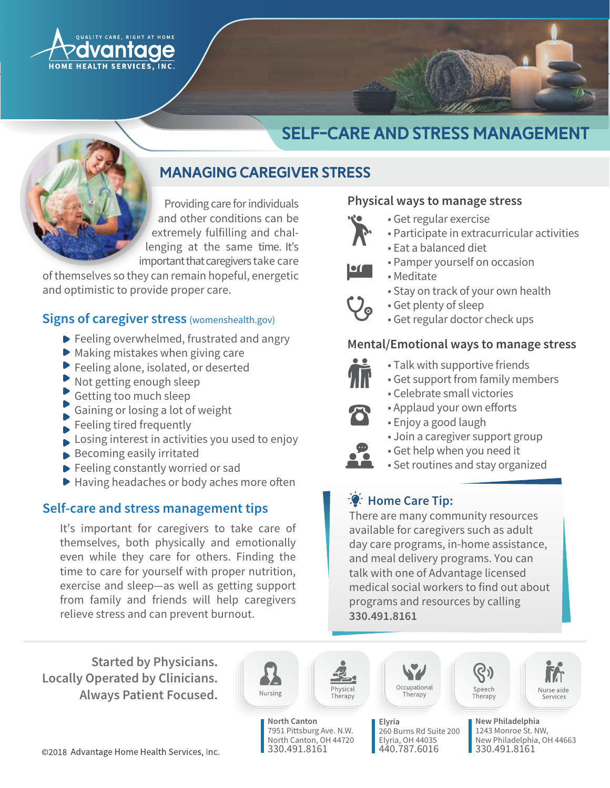

# Self-Care and stress management

## Managing caregiver stress

Providing care for individuals and other conditions can be extremely fulfilling and challenging at the same time. It's important that caregivers take care

of themselves so they can remain hopeful, energetic and optimistic to provide proper care.

#### **Signs of caregiver stress (womenshealth.gov)**

- ▶ Feeling overwhelmed, frustrated and angry
- $\triangleright$  Making mistakes when giving care
- ▶ Feeling alone, isolated, or deserted
- Not getting enough sleep
- Getting too much sleep
- Gaining or losing a lot of weight
- Feeling tired frequently
- Losing interest in activities you used to enjoy
- Becoming easily irritated
- Feeling constantly worried or sad
- ▶ Having headaches or body aches more often

## Self-care and stress management tips

It's important for caregivers to take care of themselves, both physically and emotionally even while they care for others. Finding the time to care for yourself with proper nutrition, exercise and sleep-as well as getting support from family and friends will help caregivers relieve stress and can prevent burnout.

Physical ways to manage stress

- · Get regular exercise
- · Participate in extracurricular activities
- Eat a balanced diet
- · Pamper yourself on occasion
- Meditate
	- Stay on track of your own health
- Get plenty of sleep
- · Get regular doctor check ups

## Feeling overwhelmed, frustrated and angry **contral (Emotional ways to manage stress**



- $\bullet$  Talk with supportive friends
- Get support from family members
- Celebrate small victories
- Applaud your own efforts
- · Enjoy a good laugh
- Join a caregiver support group
- Get help when you need it
- Set routines and stay organized

## **A:** Home Care Tip:

There are many community resources available for caregivers such as adult day care programs, in-home assistance, and meal delivery programs. You can talk with one of Advantage licensed medical social workers to find out about programs and resources by calling 330.491.8161

**Started by Physicians. Locally Operated by Clinicians. Always Patient Focused.** 





hysical

North Canton, OH 44720 330.491.8161



260 Burns Rd Suite 200 Elyria, OH 44035 440.787.6016

Elyria





New Philadelphia 1243 Monroe St. NW. New Philadelphia, OH 44663 330.491.8161